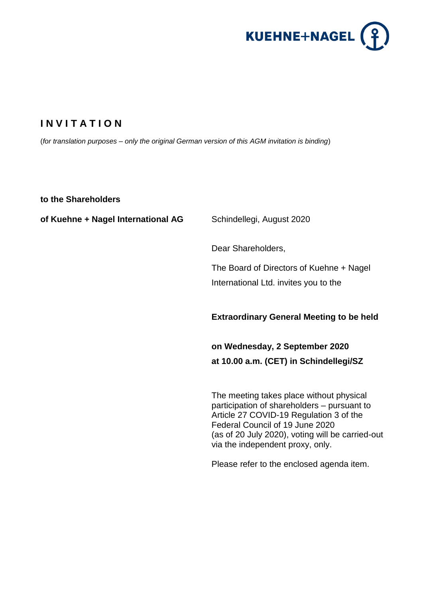

# **I N V I T A T I O N**

(*for translation purposes – only the original German version of this AGM invitation is binding*)

**to the Shareholders**

**of Kuehne + Nagel International AG** Schindellegi, August 2020

Dear Shareholders,

The Board of Directors of Kuehne + Nagel International Ltd. invites you to the

### **Extraordinary General Meeting to be held**

**on Wednesday, 2 September 2020 at 10.00 a.m. (CET) in Schindellegi/SZ**

The meeting takes place without physical participation of shareholders – pursuant to Article 27 COVID-19 Regulation 3 of the Federal Council of 19 June 2020 (as of 20 July 2020), voting will be carried-out via the independent proxy, only.

Please refer to the enclosed agenda item.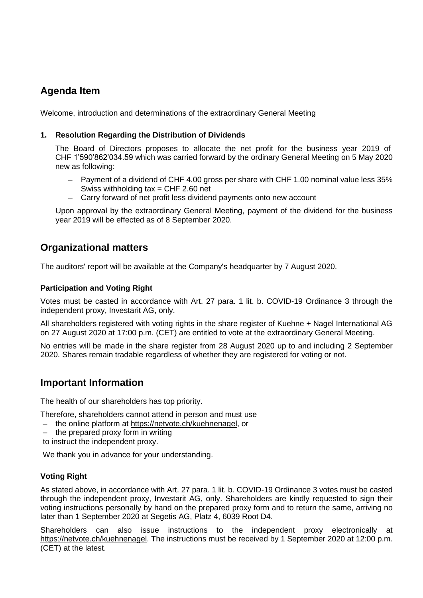## **Agenda Item**

Welcome, introduction and determinations of the extraordinary General Meeting

### **1. Resolution Regarding the Distribution of Dividends**

The Board of Directors proposes to allocate the net profit for the business year 2019 of CHF 1'590'862'034.59 which was carried forward by the ordinary General Meeting on 5 May 2020 new as following:

- Payment of a dividend of CHF 4.00 gross per share with CHF 1.00 nominal value less 35% Swiss withholding  $tax = CHF 2.60$  net
- Carry forward of net profit less dividend payments onto new account

Upon approval by the extraordinary General Meeting, payment of the dividend for the business year 2019 will be effected as of 8 September 2020.

### **Organizational matters**

The auditors' report will be available at the Company's headquarter by 7 August 2020.

### **Participation and Voting Right**

Votes must be casted in accordance with Art. 27 para. 1 lit. b. COVID-19 Ordinance 3 through the independent proxy, Investarit AG, only.

All shareholders registered with voting rights in the share register of Kuehne + Nagel International AG on 27 August 2020 at 17:00 p.m. (CET) are entitled to vote at the extraordinary General Meeting.

No entries will be made in the share register from 28 August 2020 up to and including 2 September 2020. Shares remain tradable regardless of whether they are registered for voting or not.

## **Important Information**

The health of our shareholders has top priority.

Therefore, shareholders cannot attend in person and must use

- the online platform at [https://netvote.ch/kuehnenagel,](https://netvote.ch/kuehnenagel) or
- the prepared proxy form in writing

to instruct the independent proxy.

We thank you in advance for your understanding.

#### **Voting Right**

As stated above, in accordance with Art. 27 para. 1 lit. b. COVID-19 Ordinance 3 votes must be casted through the independent proxy, Investarit AG, only. Shareholders are kindly requested to sign their voting instructions personally by hand on the prepared proxy form and to return the same, arriving no later than 1 September 2020 at Segetis AG, Platz 4, 6039 Root D4.

Shareholders can also issue instructions to the independent proxy electronically at https://netvote.ch/kuehnenagel. The instructions must be received by 1 September 2020 at 12:00 p.m. (CET) at the latest.